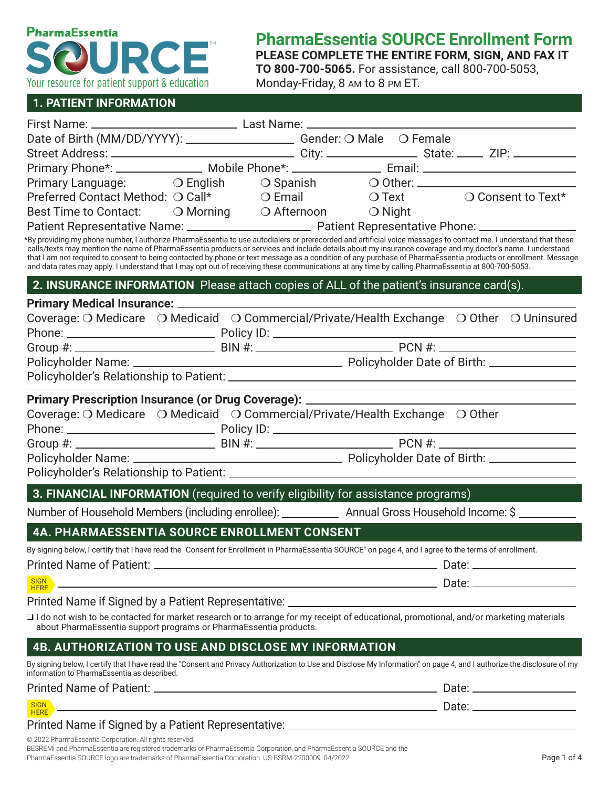

# **PharmaEssentia SOURCE Enrollment Form**

**PLEASE COMPLETE THE ENTIRE FORM, SIGN, AND FAX IT TO 800-700-5065.** For assistance, call 800-700-5053,

Monday-Friday, 8 AM to 8 PM ET.

#### **1. PATIENT INFORMATION**

| Date of Birth (MM/DD/YYYY): ____________________________Gender: O Male O Female<br>Primary Language: O English O Spanish O Other: _________________________________<br>Preferred Contact Method: O Call* C Email C Text C Consent to Text*<br>Best Time to Contact: O Morning O Afternoon O Night<br>*By providing my phone number, I authorize PharmaEssentia to use autodialers or prerecorded and artificial voice messages to contact me. I understand that these<br>calls/texts may mention the name of PharmaEssentia products or services and include details about my insurance coverage and my doctor's name. I understand<br>that I am not required to consent to being contacted by phone or text message as a condition of any purchase of PharmaEssentia products or enrollment. Message<br>and data rates may apply. I understand that I may opt out of receiving these communications at any time by calling PharmaEssentia at 800-700-5053.<br>2. INSURANCE INFORMATION Please attach copies of ALL of the patient's insurance card(s).<br>Coverage: O Medicare O Medicaid O Commercial/Private/Health Exchange O Other O Uninsured<br>Phone: Policy ID: Policy ID: Policy ID: Policy ID: PON #: PCN #: PON #: PON #: PCN #: PON #: PON #: PON #: PON #: PON #: PON #: PON #: PON #: PON #: PON #: PON #: PON #: PON #: PON #: PON #: PON #: PON #: PON #: PON #: PON<br>Primary Prescription Insurance (or Drug Coverage): ______________________________<br>Coverage: O Medicare O Medicaid O Commercial/Private/Health Exchange O Other<br>3. FINANCIAL INFORMATION (required to verify eligibility for assistance programs)<br>Number of Household Members (including enrollee): ______________ Annual Gross Household Income: \$ ________<br><b>4A. PHARMAESSENTIA SOURCE ENROLLMENT CONSENT</b><br>By signing below, I certify that I have read the "Consent for Enrollment in PharmaEssentia SOURCE" on page 4, and I agree to the terms of enrollment.<br><b>SIGN</b><br><u> 1989 - Johann Stoff, amerikansk politiker (d. 1989)</u><br><b>HERE</b><br>I do not wish to be contacted for market research or to arrange for my receipt of educational, promotional, and/or marketing materials<br>about PharmaEssentia support programs or PharmaEssentia products.<br>4B. AUTHORIZATION TO USE AND DISCLOSE MY INFORMATION<br>By signing below, I certify that I have read the "Consent and Privacy Authorization to Use and Disclose My Information" on page 4, and I authorize the disclosure of my<br>information to PharmaEssentia as described.<br><b>SIGN</b><br>$HERE =$ |  |  |  |
|---------------------------------------------------------------------------------------------------------------------------------------------------------------------------------------------------------------------------------------------------------------------------------------------------------------------------------------------------------------------------------------------------------------------------------------------------------------------------------------------------------------------------------------------------------------------------------------------------------------------------------------------------------------------------------------------------------------------------------------------------------------------------------------------------------------------------------------------------------------------------------------------------------------------------------------------------------------------------------------------------------------------------------------------------------------------------------------------------------------------------------------------------------------------------------------------------------------------------------------------------------------------------------------------------------------------------------------------------------------------------------------------------------------------------------------------------------------------------------------------------------------------------------------------------------------------------------------------------------------------------------------------------------------------------------------------------------------------------------------------------------------------------------------------------------------------------------------------------------------------------------------------------------------------------------------------------------------------------------------------------------------------------------------------------------------------------------------------------------------------------------------------------------------------------------------------------------------------------------------------------------------------------------------------------------------------------------------------------------------------------------------------------------------------------------------------------------------------------------------------------------------------------------------------------------------------------------------------------------|--|--|--|
|                                                                                                                                                                                                                                                                                                                                                                                                                                                                                                                                                                                                                                                                                                                                                                                                                                                                                                                                                                                                                                                                                                                                                                                                                                                                                                                                                                                                                                                                                                                                                                                                                                                                                                                                                                                                                                                                                                                                                                                                                                                                                                                                                                                                                                                                                                                                                                                                                                                                                                                                                                                                         |  |  |  |
|                                                                                                                                                                                                                                                                                                                                                                                                                                                                                                                                                                                                                                                                                                                                                                                                                                                                                                                                                                                                                                                                                                                                                                                                                                                                                                                                                                                                                                                                                                                                                                                                                                                                                                                                                                                                                                                                                                                                                                                                                                                                                                                                                                                                                                                                                                                                                                                                                                                                                                                                                                                                         |  |  |  |
|                                                                                                                                                                                                                                                                                                                                                                                                                                                                                                                                                                                                                                                                                                                                                                                                                                                                                                                                                                                                                                                                                                                                                                                                                                                                                                                                                                                                                                                                                                                                                                                                                                                                                                                                                                                                                                                                                                                                                                                                                                                                                                                                                                                                                                                                                                                                                                                                                                                                                                                                                                                                         |  |  |  |
|                                                                                                                                                                                                                                                                                                                                                                                                                                                                                                                                                                                                                                                                                                                                                                                                                                                                                                                                                                                                                                                                                                                                                                                                                                                                                                                                                                                                                                                                                                                                                                                                                                                                                                                                                                                                                                                                                                                                                                                                                                                                                                                                                                                                                                                                                                                                                                                                                                                                                                                                                                                                         |  |  |  |
|                                                                                                                                                                                                                                                                                                                                                                                                                                                                                                                                                                                                                                                                                                                                                                                                                                                                                                                                                                                                                                                                                                                                                                                                                                                                                                                                                                                                                                                                                                                                                                                                                                                                                                                                                                                                                                                                                                                                                                                                                                                                                                                                                                                                                                                                                                                                                                                                                                                                                                                                                                                                         |  |  |  |
|                                                                                                                                                                                                                                                                                                                                                                                                                                                                                                                                                                                                                                                                                                                                                                                                                                                                                                                                                                                                                                                                                                                                                                                                                                                                                                                                                                                                                                                                                                                                                                                                                                                                                                                                                                                                                                                                                                                                                                                                                                                                                                                                                                                                                                                                                                                                                                                                                                                                                                                                                                                                         |  |  |  |
|                                                                                                                                                                                                                                                                                                                                                                                                                                                                                                                                                                                                                                                                                                                                                                                                                                                                                                                                                                                                                                                                                                                                                                                                                                                                                                                                                                                                                                                                                                                                                                                                                                                                                                                                                                                                                                                                                                                                                                                                                                                                                                                                                                                                                                                                                                                                                                                                                                                                                                                                                                                                         |  |  |  |
|                                                                                                                                                                                                                                                                                                                                                                                                                                                                                                                                                                                                                                                                                                                                                                                                                                                                                                                                                                                                                                                                                                                                                                                                                                                                                                                                                                                                                                                                                                                                                                                                                                                                                                                                                                                                                                                                                                                                                                                                                                                                                                                                                                                                                                                                                                                                                                                                                                                                                                                                                                                                         |  |  |  |
|                                                                                                                                                                                                                                                                                                                                                                                                                                                                                                                                                                                                                                                                                                                                                                                                                                                                                                                                                                                                                                                                                                                                                                                                                                                                                                                                                                                                                                                                                                                                                                                                                                                                                                                                                                                                                                                                                                                                                                                                                                                                                                                                                                                                                                                                                                                                                                                                                                                                                                                                                                                                         |  |  |  |
|                                                                                                                                                                                                                                                                                                                                                                                                                                                                                                                                                                                                                                                                                                                                                                                                                                                                                                                                                                                                                                                                                                                                                                                                                                                                                                                                                                                                                                                                                                                                                                                                                                                                                                                                                                                                                                                                                                                                                                                                                                                                                                                                                                                                                                                                                                                                                                                                                                                                                                                                                                                                         |  |  |  |
|                                                                                                                                                                                                                                                                                                                                                                                                                                                                                                                                                                                                                                                                                                                                                                                                                                                                                                                                                                                                                                                                                                                                                                                                                                                                                                                                                                                                                                                                                                                                                                                                                                                                                                                                                                                                                                                                                                                                                                                                                                                                                                                                                                                                                                                                                                                                                                                                                                                                                                                                                                                                         |  |  |  |
|                                                                                                                                                                                                                                                                                                                                                                                                                                                                                                                                                                                                                                                                                                                                                                                                                                                                                                                                                                                                                                                                                                                                                                                                                                                                                                                                                                                                                                                                                                                                                                                                                                                                                                                                                                                                                                                                                                                                                                                                                                                                                                                                                                                                                                                                                                                                                                                                                                                                                                                                                                                                         |  |  |  |
|                                                                                                                                                                                                                                                                                                                                                                                                                                                                                                                                                                                                                                                                                                                                                                                                                                                                                                                                                                                                                                                                                                                                                                                                                                                                                                                                                                                                                                                                                                                                                                                                                                                                                                                                                                                                                                                                                                                                                                                                                                                                                                                                                                                                                                                                                                                                                                                                                                                                                                                                                                                                         |  |  |  |
|                                                                                                                                                                                                                                                                                                                                                                                                                                                                                                                                                                                                                                                                                                                                                                                                                                                                                                                                                                                                                                                                                                                                                                                                                                                                                                                                                                                                                                                                                                                                                                                                                                                                                                                                                                                                                                                                                                                                                                                                                                                                                                                                                                                                                                                                                                                                                                                                                                                                                                                                                                                                         |  |  |  |
|                                                                                                                                                                                                                                                                                                                                                                                                                                                                                                                                                                                                                                                                                                                                                                                                                                                                                                                                                                                                                                                                                                                                                                                                                                                                                                                                                                                                                                                                                                                                                                                                                                                                                                                                                                                                                                                                                                                                                                                                                                                                                                                                                                                                                                                                                                                                                                                                                                                                                                                                                                                                         |  |  |  |
|                                                                                                                                                                                                                                                                                                                                                                                                                                                                                                                                                                                                                                                                                                                                                                                                                                                                                                                                                                                                                                                                                                                                                                                                                                                                                                                                                                                                                                                                                                                                                                                                                                                                                                                                                                                                                                                                                                                                                                                                                                                                                                                                                                                                                                                                                                                                                                                                                                                                                                                                                                                                         |  |  |  |
|                                                                                                                                                                                                                                                                                                                                                                                                                                                                                                                                                                                                                                                                                                                                                                                                                                                                                                                                                                                                                                                                                                                                                                                                                                                                                                                                                                                                                                                                                                                                                                                                                                                                                                                                                                                                                                                                                                                                                                                                                                                                                                                                                                                                                                                                                                                                                                                                                                                                                                                                                                                                         |  |  |  |
|                                                                                                                                                                                                                                                                                                                                                                                                                                                                                                                                                                                                                                                                                                                                                                                                                                                                                                                                                                                                                                                                                                                                                                                                                                                                                                                                                                                                                                                                                                                                                                                                                                                                                                                                                                                                                                                                                                                                                                                                                                                                                                                                                                                                                                                                                                                                                                                                                                                                                                                                                                                                         |  |  |  |
|                                                                                                                                                                                                                                                                                                                                                                                                                                                                                                                                                                                                                                                                                                                                                                                                                                                                                                                                                                                                                                                                                                                                                                                                                                                                                                                                                                                                                                                                                                                                                                                                                                                                                                                                                                                                                                                                                                                                                                                                                                                                                                                                                                                                                                                                                                                                                                                                                                                                                                                                                                                                         |  |  |  |
|                                                                                                                                                                                                                                                                                                                                                                                                                                                                                                                                                                                                                                                                                                                                                                                                                                                                                                                                                                                                                                                                                                                                                                                                                                                                                                                                                                                                                                                                                                                                                                                                                                                                                                                                                                                                                                                                                                                                                                                                                                                                                                                                                                                                                                                                                                                                                                                                                                                                                                                                                                                                         |  |  |  |
|                                                                                                                                                                                                                                                                                                                                                                                                                                                                                                                                                                                                                                                                                                                                                                                                                                                                                                                                                                                                                                                                                                                                                                                                                                                                                                                                                                                                                                                                                                                                                                                                                                                                                                                                                                                                                                                                                                                                                                                                                                                                                                                                                                                                                                                                                                                                                                                                                                                                                                                                                                                                         |  |  |  |
|                                                                                                                                                                                                                                                                                                                                                                                                                                                                                                                                                                                                                                                                                                                                                                                                                                                                                                                                                                                                                                                                                                                                                                                                                                                                                                                                                                                                                                                                                                                                                                                                                                                                                                                                                                                                                                                                                                                                                                                                                                                                                                                                                                                                                                                                                                                                                                                                                                                                                                                                                                                                         |  |  |  |
|                                                                                                                                                                                                                                                                                                                                                                                                                                                                                                                                                                                                                                                                                                                                                                                                                                                                                                                                                                                                                                                                                                                                                                                                                                                                                                                                                                                                                                                                                                                                                                                                                                                                                                                                                                                                                                                                                                                                                                                                                                                                                                                                                                                                                                                                                                                                                                                                                                                                                                                                                                                                         |  |  |  |
|                                                                                                                                                                                                                                                                                                                                                                                                                                                                                                                                                                                                                                                                                                                                                                                                                                                                                                                                                                                                                                                                                                                                                                                                                                                                                                                                                                                                                                                                                                                                                                                                                                                                                                                                                                                                                                                                                                                                                                                                                                                                                                                                                                                                                                                                                                                                                                                                                                                                                                                                                                                                         |  |  |  |
|                                                                                                                                                                                                                                                                                                                                                                                                                                                                                                                                                                                                                                                                                                                                                                                                                                                                                                                                                                                                                                                                                                                                                                                                                                                                                                                                                                                                                                                                                                                                                                                                                                                                                                                                                                                                                                                                                                                                                                                                                                                                                                                                                                                                                                                                                                                                                                                                                                                                                                                                                                                                         |  |  |  |
|                                                                                                                                                                                                                                                                                                                                                                                                                                                                                                                                                                                                                                                                                                                                                                                                                                                                                                                                                                                                                                                                                                                                                                                                                                                                                                                                                                                                                                                                                                                                                                                                                                                                                                                                                                                                                                                                                                                                                                                                                                                                                                                                                                                                                                                                                                                                                                                                                                                                                                                                                                                                         |  |  |  |
|                                                                                                                                                                                                                                                                                                                                                                                                                                                                                                                                                                                                                                                                                                                                                                                                                                                                                                                                                                                                                                                                                                                                                                                                                                                                                                                                                                                                                                                                                                                                                                                                                                                                                                                                                                                                                                                                                                                                                                                                                                                                                                                                                                                                                                                                                                                                                                                                                                                                                                                                                                                                         |  |  |  |
|                                                                                                                                                                                                                                                                                                                                                                                                                                                                                                                                                                                                                                                                                                                                                                                                                                                                                                                                                                                                                                                                                                                                                                                                                                                                                                                                                                                                                                                                                                                                                                                                                                                                                                                                                                                                                                                                                                                                                                                                                                                                                                                                                                                                                                                                                                                                                                                                                                                                                                                                                                                                         |  |  |  |
|                                                                                                                                                                                                                                                                                                                                                                                                                                                                                                                                                                                                                                                                                                                                                                                                                                                                                                                                                                                                                                                                                                                                                                                                                                                                                                                                                                                                                                                                                                                                                                                                                                                                                                                                                                                                                                                                                                                                                                                                                                                                                                                                                                                                                                                                                                                                                                                                                                                                                                                                                                                                         |  |  |  |
|                                                                                                                                                                                                                                                                                                                                                                                                                                                                                                                                                                                                                                                                                                                                                                                                                                                                                                                                                                                                                                                                                                                                                                                                                                                                                                                                                                                                                                                                                                                                                                                                                                                                                                                                                                                                                                                                                                                                                                                                                                                                                                                                                                                                                                                                                                                                                                                                                                                                                                                                                                                                         |  |  |  |
|                                                                                                                                                                                                                                                                                                                                                                                                                                                                                                                                                                                                                                                                                                                                                                                                                                                                                                                                                                                                                                                                                                                                                                                                                                                                                                                                                                                                                                                                                                                                                                                                                                                                                                                                                                                                                                                                                                                                                                                                                                                                                                                                                                                                                                                                                                                                                                                                                                                                                                                                                                                                         |  |  |  |
|                                                                                                                                                                                                                                                                                                                                                                                                                                                                                                                                                                                                                                                                                                                                                                                                                                                                                                                                                                                                                                                                                                                                                                                                                                                                                                                                                                                                                                                                                                                                                                                                                                                                                                                                                                                                                                                                                                                                                                                                                                                                                                                                                                                                                                                                                                                                                                                                                                                                                                                                                                                                         |  |  |  |
|                                                                                                                                                                                                                                                                                                                                                                                                                                                                                                                                                                                                                                                                                                                                                                                                                                                                                                                                                                                                                                                                                                                                                                                                                                                                                                                                                                                                                                                                                                                                                                                                                                                                                                                                                                                                                                                                                                                                                                                                                                                                                                                                                                                                                                                                                                                                                                                                                                                                                                                                                                                                         |  |  |  |
|                                                                                                                                                                                                                                                                                                                                                                                                                                                                                                                                                                                                                                                                                                                                                                                                                                                                                                                                                                                                                                                                                                                                                                                                                                                                                                                                                                                                                                                                                                                                                                                                                                                                                                                                                                                                                                                                                                                                                                                                                                                                                                                                                                                                                                                                                                                                                                                                                                                                                                                                                                                                         |  |  |  |
|                                                                                                                                                                                                                                                                                                                                                                                                                                                                                                                                                                                                                                                                                                                                                                                                                                                                                                                                                                                                                                                                                                                                                                                                                                                                                                                                                                                                                                                                                                                                                                                                                                                                                                                                                                                                                                                                                                                                                                                                                                                                                                                                                                                                                                                                                                                                                                                                                                                                                                                                                                                                         |  |  |  |
|                                                                                                                                                                                                                                                                                                                                                                                                                                                                                                                                                                                                                                                                                                                                                                                                                                                                                                                                                                                                                                                                                                                                                                                                                                                                                                                                                                                                                                                                                                                                                                                                                                                                                                                                                                                                                                                                                                                                                                                                                                                                                                                                                                                                                                                                                                                                                                                                                                                                                                                                                                                                         |  |  |  |

© 2022 PharmaEssentia Corporation. All rights reserved.

BESREMi and PharmaEssentia are registered trademarks of PharmaEssentia Corporation, and PharmaEssentia SOURCE and the PharmaEssentia SOURCE logo are trademarks of PharmaEssentia Corporation. US-BSRM-2200009 04/2022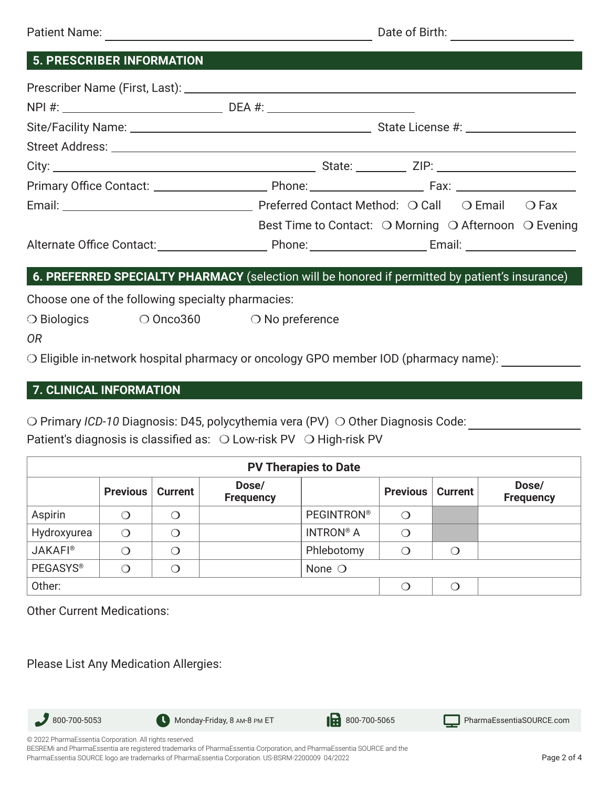| <b>5. PRESCRIBER INFORMATION</b>                                                                |                                                       |
|-------------------------------------------------------------------------------------------------|-------------------------------------------------------|
|                                                                                                 |                                                       |
|                                                                                                 |                                                       |
|                                                                                                 |                                                       |
|                                                                                                 |                                                       |
|                                                                                                 |                                                       |
|                                                                                                 | Best Time to Contact: O Morning O Afternoon O Evening |
| 6. PREFERRED SPECIALTY PHARMACY (selection will be honored if permitted by patient's insurance) |                                                       |
| Choose one of the following specialty pharmacies:                                               |                                                       |

❍ Biologics ❍ Onco360 ❍ No preference

❍ Eligible in-network hospital pharmacy or oncology GPO member IOD (pharmacy name):

### **7. CLINICAL INFORMATION**

❍ Primary *ICD-10* Diagnosis: D45, polycythemia vera (PV) ❍ Other Diagnosis Code: Patient's diagnosis is classified as: ○ Low-risk PV ○ High-risk PV

| <b>PV Therapies to Date</b> |                 |                |                           |                   |                 |                |                           |
|-----------------------------|-----------------|----------------|---------------------------|-------------------|-----------------|----------------|---------------------------|
|                             | <b>Previous</b> | <b>Current</b> | Dose/<br><b>Frequency</b> |                   | <b>Previous</b> | <b>Current</b> | Dose/<br><b>Frequency</b> |
| Aspirin                     | ∩               | O              |                           | <b>PEGINTRON®</b> | ∩               |                |                           |
| Hydroxyurea                 | $\bigcirc$      | $\bigcirc$     |                           | <b>INTRON® A</b>  | ◯               |                |                           |
| <b>JAKAFI®</b>              | ∩               | O              |                           | Phlebotomy        | O               | $\bigcirc$     |                           |
| <b>PEGASYS®</b>             | $\bigcirc$      | O              |                           | None $\bigcirc$   |                 |                |                           |
| Other:                      |                 |                |                           |                   |                 | $\Omega$       |                           |

Other Current Medications:

Please List Any Medication Allergies:



BESREMi and PharmaEssentia are registered trademarks of PharmaEssentia Corporation, and PharmaEssentia SOURCE and the PharmaEssentia SOURCE logo are trademarks of PharmaEssentia Corporation. US-BSRM-2200009 04/2022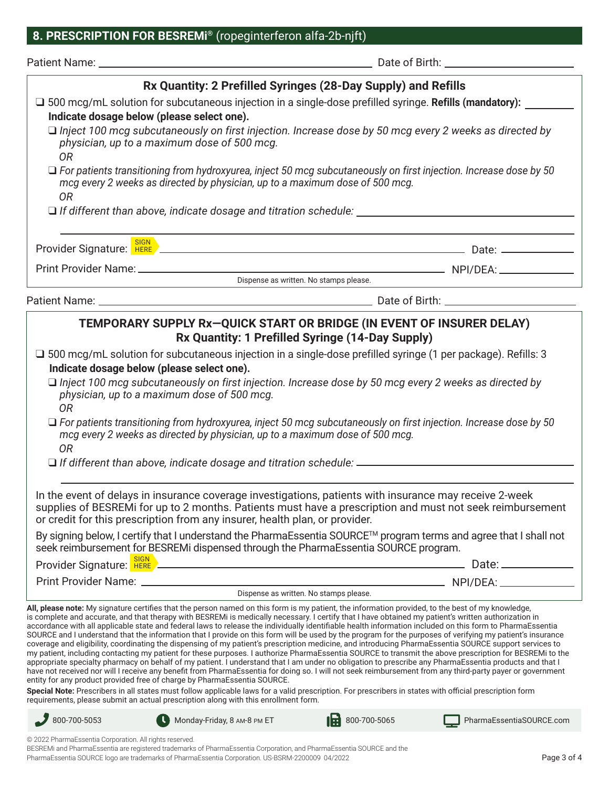### **8. PRESCRIPTION FOR BESREMi®** (ropeginterferon alfa-2b-njft)

| Patient Name: | Date of Birth: |  |
|---------------|----------------|--|
|               |                |  |

| Rx Quantity: 2 Prefilled Syringes (28-Day Supply) and Refills                                                                                                                                                                                                                                                                                                                                                                                                                                                                                                                                                                                                                                                                                                                                                                                                                                                                                                                                                                                                                                                                                                                                                                                                                                                                                               |                                                                                                                                                                                                          |                          |  |  |  |
|-------------------------------------------------------------------------------------------------------------------------------------------------------------------------------------------------------------------------------------------------------------------------------------------------------------------------------------------------------------------------------------------------------------------------------------------------------------------------------------------------------------------------------------------------------------------------------------------------------------------------------------------------------------------------------------------------------------------------------------------------------------------------------------------------------------------------------------------------------------------------------------------------------------------------------------------------------------------------------------------------------------------------------------------------------------------------------------------------------------------------------------------------------------------------------------------------------------------------------------------------------------------------------------------------------------------------------------------------------------|----------------------------------------------------------------------------------------------------------------------------------------------------------------------------------------------------------|--------------------------|--|--|--|
| $\square$ 500 mcg/mL solution for subcutaneous injection in a single-dose prefilled syringe. Refills (mandatory):                                                                                                                                                                                                                                                                                                                                                                                                                                                                                                                                                                                                                                                                                                                                                                                                                                                                                                                                                                                                                                                                                                                                                                                                                                           |                                                                                                                                                                                                          |                          |  |  |  |
| Indicate dosage below (please select one).<br>$\Box$ Inject 100 mcg subcutaneously on first injection. Increase dose by 50 mcg every 2 weeks as directed by                                                                                                                                                                                                                                                                                                                                                                                                                                                                                                                                                                                                                                                                                                                                                                                                                                                                                                                                                                                                                                                                                                                                                                                                 |                                                                                                                                                                                                          |                          |  |  |  |
| physician, up to a maximum dose of 500 mcg.<br><b>OR</b>                                                                                                                                                                                                                                                                                                                                                                                                                                                                                                                                                                                                                                                                                                                                                                                                                                                                                                                                                                                                                                                                                                                                                                                                                                                                                                    |                                                                                                                                                                                                          |                          |  |  |  |
| <b>OR</b>                                                                                                                                                                                                                                                                                                                                                                                                                                                                                                                                                                                                                                                                                                                                                                                                                                                                                                                                                                                                                                                                                                                                                                                                                                                                                                                                                   | $\Box$ For patients transitioning from hydroxyurea, inject 50 mcg subcutaneously on first injection. Increase dose by 50<br>mcg every 2 weeks as directed by physician, up to a maximum dose of 500 mcg. |                          |  |  |  |
|                                                                                                                                                                                                                                                                                                                                                                                                                                                                                                                                                                                                                                                                                                                                                                                                                                                                                                                                                                                                                                                                                                                                                                                                                                                                                                                                                             |                                                                                                                                                                                                          |                          |  |  |  |
| Provider Signature: <b>READ ARTICLE 2008</b> 2010 12:00 Provider Signature: <b>READ ARTICLE 2010</b> 2010: 2010: 2010: 2010                                                                                                                                                                                                                                                                                                                                                                                                                                                                                                                                                                                                                                                                                                                                                                                                                                                                                                                                                                                                                                                                                                                                                                                                                                 |                                                                                                                                                                                                          |                          |  |  |  |
|                                                                                                                                                                                                                                                                                                                                                                                                                                                                                                                                                                                                                                                                                                                                                                                                                                                                                                                                                                                                                                                                                                                                                                                                                                                                                                                                                             |                                                                                                                                                                                                          |                          |  |  |  |
| Dispense as written. No stamps please.                                                                                                                                                                                                                                                                                                                                                                                                                                                                                                                                                                                                                                                                                                                                                                                                                                                                                                                                                                                                                                                                                                                                                                                                                                                                                                                      |                                                                                                                                                                                                          |                          |  |  |  |
|                                                                                                                                                                                                                                                                                                                                                                                                                                                                                                                                                                                                                                                                                                                                                                                                                                                                                                                                                                                                                                                                                                                                                                                                                                                                                                                                                             |                                                                                                                                                                                                          |                          |  |  |  |
| TEMPORARY SUPPLY Rx-QUICK START OR BRIDGE (IN EVENT OF INSURER DELAY)<br>Rx Quantity: 1 Prefilled Syringe (14-Day Supply)                                                                                                                                                                                                                                                                                                                                                                                                                                                                                                                                                                                                                                                                                                                                                                                                                                                                                                                                                                                                                                                                                                                                                                                                                                   |                                                                                                                                                                                                          |                          |  |  |  |
| □ 500 mcg/mL solution for subcutaneous injection in a single-dose prefilled syringe (1 per package). Refills: 3                                                                                                                                                                                                                                                                                                                                                                                                                                                                                                                                                                                                                                                                                                                                                                                                                                                                                                                                                                                                                                                                                                                                                                                                                                             |                                                                                                                                                                                                          |                          |  |  |  |
| Indicate dosage below (please select one).                                                                                                                                                                                                                                                                                                                                                                                                                                                                                                                                                                                                                                                                                                                                                                                                                                                                                                                                                                                                                                                                                                                                                                                                                                                                                                                  |                                                                                                                                                                                                          |                          |  |  |  |
| $\Box$ Inject 100 mcg subcutaneously on first injection. Increase dose by 50 mcg every 2 weeks as directed by<br>physician, up to a maximum dose of 500 mcg.<br><b>OR</b>                                                                                                                                                                                                                                                                                                                                                                                                                                                                                                                                                                                                                                                                                                                                                                                                                                                                                                                                                                                                                                                                                                                                                                                   |                                                                                                                                                                                                          |                          |  |  |  |
| $\Box$ For patients transitioning from hydroxyurea, inject 50 mcg subcutaneously on first injection. Increase dose by 50<br>mcg every 2 weeks as directed by physician, up to a maximum dose of 500 mcg.                                                                                                                                                                                                                                                                                                                                                                                                                                                                                                                                                                                                                                                                                                                                                                                                                                                                                                                                                                                                                                                                                                                                                    |                                                                                                                                                                                                          |                          |  |  |  |
| <b>OR</b>                                                                                                                                                                                                                                                                                                                                                                                                                                                                                                                                                                                                                                                                                                                                                                                                                                                                                                                                                                                                                                                                                                                                                                                                                                                                                                                                                   |                                                                                                                                                                                                          |                          |  |  |  |
|                                                                                                                                                                                                                                                                                                                                                                                                                                                                                                                                                                                                                                                                                                                                                                                                                                                                                                                                                                                                                                                                                                                                                                                                                                                                                                                                                             |                                                                                                                                                                                                          |                          |  |  |  |
| In the event of delays in insurance coverage investigations, patients with insurance may receive 2-week<br>supplies of BESREMi for up to 2 months. Patients must have a prescription and must not seek reimbursement<br>or credit for this prescription from any insurer, health plan, or provider.                                                                                                                                                                                                                                                                                                                                                                                                                                                                                                                                                                                                                                                                                                                                                                                                                                                                                                                                                                                                                                                         |                                                                                                                                                                                                          |                          |  |  |  |
| By signing below, I certify that I understand the PharmaEssentia SOURCE™ program terms and agree that I shall not<br>seek reimbursement for BESREMi dispensed through the PharmaEssentia SOURCE program.                                                                                                                                                                                                                                                                                                                                                                                                                                                                                                                                                                                                                                                                                                                                                                                                                                                                                                                                                                                                                                                                                                                                                    |                                                                                                                                                                                                          |                          |  |  |  |
| Provider Signature: REP PRODUCED AT A REPORT OF THE REPORT OF THE REPORT OF THE REPORT OF THE REPORT OF THE RE                                                                                                                                                                                                                                                                                                                                                                                                                                                                                                                                                                                                                                                                                                                                                                                                                                                                                                                                                                                                                                                                                                                                                                                                                                              |                                                                                                                                                                                                          |                          |  |  |  |
|                                                                                                                                                                                                                                                                                                                                                                                                                                                                                                                                                                                                                                                                                                                                                                                                                                                                                                                                                                                                                                                                                                                                                                                                                                                                                                                                                             |                                                                                                                                                                                                          |                          |  |  |  |
| Dispense as written. No stamps please.                                                                                                                                                                                                                                                                                                                                                                                                                                                                                                                                                                                                                                                                                                                                                                                                                                                                                                                                                                                                                                                                                                                                                                                                                                                                                                                      |                                                                                                                                                                                                          |                          |  |  |  |
| All, please note: My signature certifies that the person named on this form is my patient, the information provided, to the best of my knowledge,<br>is complete and accurate, and that therapy with BESREMi is medically necessary. I certify that I have obtained my patient's written authorization in<br>accordance with all applicable state and federal laws to release the individually identifiable health information included on this form to PharmaEssentia<br>SOURCE and I understand that the information that I provide on this form will be used by the program for the purposes of verifying my patient's insurance<br>coverage and eligibility, coordinating the dispensing of my patient's prescription medicine, and introducing PharmaEssentia SOURCE support services to<br>my patient, including contacting my patient for these purposes. I authorize PharmaEssentia SOURCE to transmit the above prescription for BESREMi to the<br>appropriate specialty pharmacy on behalf of my patient. I understand that I am under no obligation to prescribe any PharmaEssentia products and that I<br>have not received nor will I receive any benefit from PharmaEssentia for doing so. I will not seek reimbursement from any third-party payer or government<br>entity for any product provided free of charge by PharmaEssentia SOURCE. |                                                                                                                                                                                                          |                          |  |  |  |
| Special Note: Prescribers in all states must follow applicable laws for a valid prescription. For prescribers in states with official prescription form<br>requirements, please submit an actual prescription along with this enrollment form.                                                                                                                                                                                                                                                                                                                                                                                                                                                                                                                                                                                                                                                                                                                                                                                                                                                                                                                                                                                                                                                                                                              |                                                                                                                                                                                                          |                          |  |  |  |
| $800 - 700 - 5053$<br>Monday-Friday, 8 AM-8 PM ET                                                                                                                                                                                                                                                                                                                                                                                                                                                                                                                                                                                                                                                                                                                                                                                                                                                                                                                                                                                                                                                                                                                                                                                                                                                                                                           | $\mathbf{R}$ 800-700-5065                                                                                                                                                                                | PharmaEssentiaSOURCE.com |  |  |  |

© 2022 PharmaEssentia Corporation. All rights reserved.

BESREMi and PharmaEssentia are registered trademarks of PharmaEssentia Corporation, and PharmaEssentia SOURCE and the PharmaEssentia SOURCE logo are trademarks of PharmaEssentia Corporation. US-BSRM-2200009 04/2022